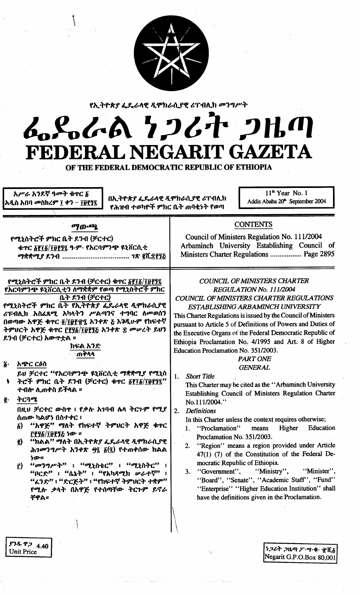

የኢትዮጵያ ፌዴራላዊ ዲሞክራሲያዊ ሪፐብሊክ መንግሥት

# んぺんへ ファムナ フルの FEDERAL NEGARIT GAZETA

OF THE FEDERAL DEMOCRATIC REPUBLIC OF ETHIOPIA

አሥራ አንደኛ ዓመት ቁዋር δ አዲስ አበባ መስከረም ፲ ቀን – ፲፱፻፺፯

በኢትዮጵያ ፌዴራላዊ ዲሞክራሲያዊ ሪፐብሊክ የሕዝብ ተወካዮች ምክር ቤት ጠባቂነት የወጣ

11<sup>th</sup> Year No. 1 Addis Ababa 20<sup>th</sup> September 2004

## **CONTENTS**

Council of Ministers Regulation No. 111/2004

Arbaminch University Establishing Council of

Ministers Charter Regulations .................. Page 2895

ማውጫ የሚኔስትሮች ምክር ቤት ደንብ (ቻርተር)

ቁዋር δየ፲፩/፲፱፻፺፯ ዓ·ም· የአርባምንጭ ዩኒቨርሲቲ 

የሚኒስትሮች ምክር ቤት ደንብ (ቻርተር) ቁጥር ፩፻፲፩/፲፱፻፺፯ የአርባምንጭ ዩኒቨርሲቲን ለማቋቋም የወጣ የሚኒስትሮች ምክር ቤት ደንብ (ቻርተር)

የሚኒስትሮች ምክር ቤት የኢትዮጵ*ያ ፌ*ዴራላዊ *ዲ*ሞክራሲያዊ ሪፑብሊክ አስፈጻ<mark>ሚ</mark> አካላትን ሥልጣንና ተግባር ለመወሰን በወጣው አዋጅ ቁጥር ፬/፲፱፻፹፯ አንቀጽ ፭ አኞዲሁም የከፍተኛ ትምህርት አዋጅ ቁጥር ፫፻፶፩/፲፱፻፺፩ አንቀጽ ፰ መሥረት ይህን ደንብ (ቻርተር) አውዋቷል ፡፡

ክፍል አንድ ጠቅላላ

ኔ. አጭር ርዕስ

ይህ ቻርተር "የአርባምንጭ ዩኒቨርሲቲ ማቋቋሚያ የሚኒስ ትሮች ምክር ቤት ደንብ (ቻርተር) ቁተር ፩፻፲፩/፲፱፻፶፯" ተብሎ ሊጠቀስ ይችላል ፡፡

ትርጓሜ ę.

> በዚህ ቻርተር ውስዋ ፣ የቃሉ አገባብ ሌላ ትርጉም የሚያ ሰጠው ካልሆን በስተቀር ፣

- "አዋጅ" ማለት የከፍተኛ ትምሀርት አዋጅ ቁዋር δ)∶ **ΓΙΥΣ/ΙΒΙΥΣ ነው ።**
- "ክልል" ማለት በኢትዮጵያ ፌዴራላዊ ዲሞክራሲያዊ Ø) ሕገመንግሥት አንቀጽ ፵፯ ፩(፯) የተጠቀሰው ክልል  $70 - n$
- "መንግሥት" i "ሚኒስቴር" i "ሚኒስትር" i ĉ) "ቦርድ<sup>››</sup> ፣ "ሴኔት" ፣ "የአካዳሚክ ሥራተኛ" ፣ "ፈንድ" ፣ "ድርጅት" ፣ "የከፍተኛ ትምሀርት ተቋም" የሚሉ ቃላት በአዋጅ የተሰጣቸው ትርጉም ይኖራ **ቸዋል።**

**COUNCIL OF MINISTERS CHARTER** REGULATION No. 111/2004 COUNCIL OF MINISTERS CHARTER REGULATIONS

ESTABLISHING ARBAMINCH UNIVERSITY

This Charter Regulations is issued by the Council of Ministers pursuant to Article 5 of Definitions of Powers and Duties of the Executive Organs of the Federal Democratic Republic of Ethiopia Proclamation No. 4/1995 and Art. 8 of Higher Education Proclamation No. 351/2003.

#### **PART ONE GENERAL**

1. Short Title This Charter may be cited as the "Arbaminch University Establishing Council of Ministers Regulation Charter No.111/2004."

2. Definitions

In this Charter unless the context requires otherwise;

- 1. "Proclamation" means Higher Education Proclamation No. 351/2003.
- "Region" means a region provided under Article  $2.$ 47(1) (7) of the Constitution of the Federal Democratic Republic of Ethiopia.
- "Government". "Ministry". "Minister". "Board", "Senate", "Academic Staff", "Fund" "Enterprise" "Higher Education Institution" shall have the definitions given in the Proclamation.

ያንዱ ዋ*ጋ* 4.40 **Unit Price**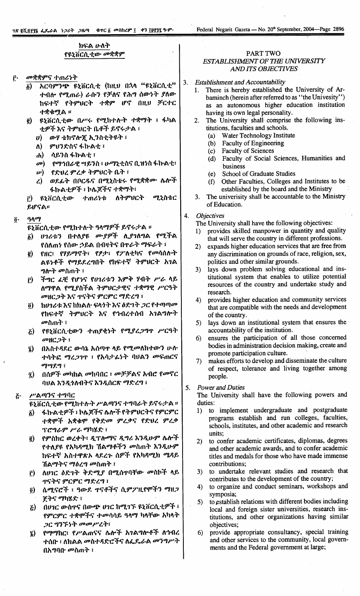#### ክፍል ሁለት የዩኒቨርሲቲው *መ*ቋቋም

#### መቋቋምና ተጠሪነት ß.

- አርባምንጭ ዩኒቨርሲቲ (ከዚህ በኋላ "ዩኒቨርሲቲ"  $\delta$ ተብሎ የሚጠራ) ራሱን የቻለና የሕግ ሰውነት ያለው ከፍተኛ የትምህርት ተቋም ሆኖ በዚህ ቻርተር ተቋቁሟል ።
- ዩኒቨርሲቲው በሥሩ የሚከተሉት ተቋማት ፣ ፋካል  $\epsilon$ ) ቲዎች እና ትምህርት ቤቶች ይኖሩታል ፣
	- ውሃ ቴክኖሎጀ ኢንስቲትዩት ፤  $\bm{v}$
	- ምሀንድስና ፋኩልቲ ፣ ለ) -
	- ሳይንስ ፋኩልቲ ፣ ሐ) -
	- $\mathbf{a}$ . የማኅበራዊ ሣይንስ ፣ ሁማኒቲስና ቢዝነስ ፋኩልቲ፣
	- **ω)** የድህረ ምረቃ ትምህርት ቤት ፣
	- ወደፊት በቦርዱና በሚኒስቴሩ የሚቋቋሙ ሴሎች Z) ፋኩል*ቲዎች ፣* ኮሌጆችና *ተቋማት፣*

ተጠሪነቱ ለትምህርት ሚኒስቴር ቮ) ዩኒቨርሲቲው ይሆናል።

#### ዓላማ  $\overline{\mathbf{0}}$ .

ዩኒቨርሲቲው የሚከተሉት ዓላማዎች ይኖሩታል ።

- ሀገሪቱን በተለያዩ ሙያዎች ሊያገለግል የሚችል  $\delta$ የስለሐነ የሰው ኃይል በብዛትና በዋራት ማፍራት ፣
- የዘር፣ የሃይማኖት፣ የፆታ፣ የፖለቲካና የመሳሰሉት g) ልዩነቶች የማይደረግበት የከፍተኛ ትምሀርት አገል *ግ*ሎት መስጠት ፣
- ችግር ፈቺ የሆነና የሀገሪቱን እምቅ ሃብት ሥራ ላይ Ê) ለማዋል የሚያስችል ትምህርታዊና ተቋማዊ ሥርዓት መዘርጋት እና ዋናትና ምርምር ማድረግ ፣
- ከሀገሪቱ እና ከክልሉ ፍላጎት እና ዕድገት ጋር የተጣጣሙ  $\tilde{g}$ ) የከፍተኛ ትምህርት እና የኅብረተሰብ አገልግሎት መስጠት ፣
- የዩኒቨርሲቲውን ተጠያቂነት የሚያረጋግጥ ሥርዓት  $\boldsymbol{E}$ መዘርጋት ፣
- በአስተዳደር ውሳኔ አሰጣዋ ላይ የሚመለከተውን ሁሉ  $\tilde{\mathbf{z}}$ ተሳትፎ ማረጋገዋ ፣ የአሳታፊነት ባሀልን መፍጠርና ማሣደግ ፣
- በሰዎች መካከል መከባበር ፣ መቻቻልና አብሮ የመኖር  $\tilde{v}$ ባህል እንዲጎለብትና እንዲሰርጽ ማድረግ ፣

#### ሥልጣንና ተግባር  $\tilde{c}$

ዩኒቨርሲቲው የሚከተሉት ሥልጣንና ተግባራት ይኖሩታል ። ፋኩልቲዎች ፣ ኮሌጆችና ሌሎች የትምህርትና የምርምር

- ô) ተቋሞች አቋቁሞ የቅድመ ምረቃና የድህረ ምረቃ ፕሮግራም ሥራ ማካሄድ ፣
- የምስክር ወረቀት፣ ዲፕሎማና ዲግሪ እንዲሁም ሴሎች  $\tilde{g}$ የተለያዩ የአካዳሚክ ሽልማቶችን መስጠት እንዲሁም ከፍተኛ አስተዋጽኦ ላደረጉ ሰዎች የአካዳሚክ ሜዳይ ሽልማትና ማዕረግ መስጠት ፣
- ለሀገር ዕድገት ቅድሚያ በሚሰዋባቸው መስኮች ላይ Č) **ኖናትና ምርምር ማድረግ** ፣
- ሴሚናሮች ፣ ዓውደ ዋናቶችና ሲምፖዚየሞችን ማዘ*ጋ*  $\vec{0}$ ጀትና ማካሄድ ፣
- በሀገር ውስኖና በውጭ ሀገር ከሚገኙ ዩኒቨርሲቲዎች ፣  $\zeta$ የምርምር ተቋሞችና ተመሳሳይ ዓላማ ካላቸው አካላት ጋር ግንኙነት መመሥረት፣
- የማማከር፣ የሥልጠናና ሴሎች አገልግሎቶች ለኅብረ  $\hat{v}$ ተሰቡ ፣ ለክልል መስተዳድሮችና ለፌዴራል መንግሥት በአግባቡ መስጠት ፣

#### PART TWO

#### ESTABLISHMENT OF THE UNIVERSITY **AND ITS OBJECTIVES**

3. Establishment and Accountability

There is hereby established the University of Ar- $1.$ baminch (herein after referred to as "the Univesity") as an autonomous higher education institution having its own legal personality.

- The University shall comprise the following ins- $2<sub>1</sub>$ titutions, faculties and schools.
	- (a) Water Technology Institute
	- **Faculty of Engineering**  $(b)$
	- $(c)$ **Faculty of Sciences**
	- Faculty of Social Sciences, Humanities and  $(d)$ business
	- **School of Graduate Studies**  $(e)$
	- Other Faculties. Colleges and Institutes to be  $(f)$ established by the board and the Ministry
- The univerisity shall be accountable to the Ministry  $\mathbf{3}$ . of Education.

#### $\overline{4}$ . **Objectives**

The University shall have the following objectives:

- provides skilled manpower in quantity and quality  $\left| \right|$ that will serve the country in different professions.
- expands higher education services that are free from  $2)$ any discrimination on grounds of race, religion, sex, politics and other similar grounds.
- lays down problem solving educational and ins- $3)$ titutional system that enables to utilize potential resources of the country and undertake study and research.
- provides higher education and community services  $4)$ that are compatible with the needs and development of the country.
- 5) lays down an institutional system that ensures the accountability of the institution.
- ensures the participation of all those concerned  $6)$ bodies in administration decision making, create and promote participation culture.
- makes efforts to develop and disseminate the culture  $7)$ of respect, tolerance and living together among people.

#### $5.$ **Power and Duties**

The University shall have the following powers and duties:

- to implement undergraduate and postgraduate  $1)$ programs establish and run colleges, faculties, schools, institutes, and other academic and research units:
- to confer academic certificates, diplomas, degrees  $2)$ and other academic awards, and to confer academic titles and medals for those who have made immense contributions:
- $3)$ to undertake relevant studies and research that contributes to the development of the country;
- to organize and conduct seminars, workshops and  $4)$ symposia;
- to establish relations with different bodies including  $5)$ local and foreign sister universities, research institutions, and other organizations having similar objectives;
- provide appropriate consultancy, special training  $6)$ and other services to the community, local governments and the Federal government at large;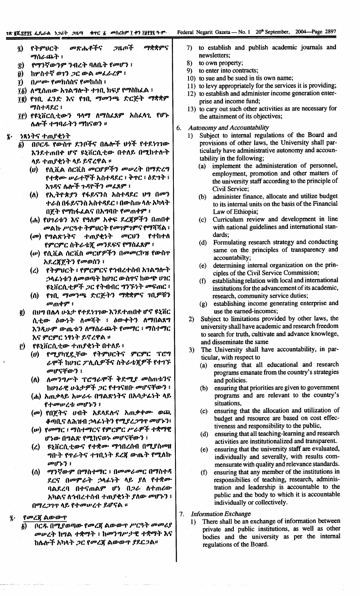#### ቁተር ፩ መስረከም ፲ ቀን ፲፱፻፶፯ ዓ·ም· 18 gሺኗfff ፌዴራል *ነጋ*ሪት ጋዜጣ

- የማንኛውንም ንብረት ባለቤት የመሆን ፣ £)
- ከሦስተኛ ወ1ን ጋር ውል መፌራረም ፣  $\hat{v}$
- በሥሙ የመክሰስና የመከሰስ ፣  $\vec{p}$
- ፲፩) ለሚሰጠው አገልግሎት ተገቢ ክፍያ የማስከፈል ፣
- ፲፪) የኀቢ ፈንድ እና የኀቢ ማመንጫ ድርጅት ማቋቋም ማስተዳደር ፣
- īf) የዩኒቨርሲቲውን ዓላማ ለማስፈጸም አስፈላጊ የሆኑ ሌሎች ተግባራትን ማከናወን ፡፡
- ነጻነትና ተጠያቂነት z.
	- በቦርዱ የውስጥ ደንቦችና በሌሎች ሀሳች የተደነገገው  $\delta$ ) እንደተጠበቀ ሆኖ ዩኒቨርሲቲው በተለይ በሚከተሉት ላይ ተጠያቂነት ላይ ይኖረዋል ፡፡
		- $(v)$ የሲቪል ሰርቪስ መርሆዎችን መሠረት በማድረግ የተቋሙ ሥራተኞች አስተዳደር ፣ ቅዋር ፣ ዕድገት ፣ እንዳና ሌሎች ጉዳዮችን መፈጸም ፣
		- (ለ) የኢትዮጵያን የፋይናንስ አስተዳደር ሀግ በመን ተራስ በፋይናንስ አስተዳደር ፣ በውስጡ ላሉ አካላት በጀት የማከፋፌልና በአግባቡ የመጠቀም ፣
		- (ሐ) የሀገሪቱን እና የዓለም አቀፍ ደረጃዎችን በጠበቀ መልኩ ሥርዓተ ትምህርት የመገምገምና የማሻሻል ፣
		- (መ) የግልጽ*ነት*ና ተጠያቂነት መርህን የተከተለ የምርምር ስትራቴጀ መንደፍና የማስፈጸም ፣
		- (ሥ) የሲቪል ሰርቪስ መርሆዎችን በመመርኮዝ የውስጥ አደረጀጀትን የመወሰን ፣
		- የትምህርት ፣ የምርምርና የኅብረተሰብ አገልግሎት  $\mathbf{z}$ ኃላፊነቱን ለመወጣት ከሀገር ውስዋና ከውጭ ሀገር ዩኒቨርሲቲዎች ጋር የትብብር ግንኙነት መፍጠር ፣
		- የገቢ ማመንጫ ድርጅትን ማቋቋምና ገቢዎቹን  $(n)$ መጠቀም ፣
	- በሀግ በሌላ ሁኔታ የተደነገገው እንደተጠበቀ ሆኖ ዩኒቨር ₫) ሲቲው ዕውነት ለመሻት ፣ ዕውቀትን ለማበልጸግ እንዲሁም ውጤቱን ለማሰራጨት የመማር ፣ ማስተማር እና ምርምር ነፃነት ይኖረዋል ፡፡
	- የዩኒቨርሲቲው ተጠያቂነት በተለይ ፣ Ĉ)
		- የሚያካሂዷቸው የትምህርትና ምርምር ፕሮግ  $(v)$ ራሞች ከሀገር ፖሊሲዎችና ስትራቴጂዎች የተገኙ መሆናቸውን ፣
		- (ለ) ለመንግሥት ፕሮግራሞች ቅድሚያ መስጠቱንና ከሀገራዊ ሁኔታዎች ጋር የተገናዘቡ መሆናቸውን ፣
		- (ሐ) አጠቃላይ አሥራሩ በግልጽነትና በአሳታፊነት ላይ የተመሠረቱ መሆኑን ፣
		- (መ) የበጀትና ሀብት አደላደሉና አጠቃቀሙ ወጪ ቆጣቢና ለሕዝብ ኃላፊነትን የሚያረ*ጋግ*ጥ መሆኑን፣
		- (ሡ) የመማር ፣ ማስተማርና የምርምር ሥራዎች ተቋማዊ ሆነው በግልጽ የሚከናወኑ መሆናቸውን ፣
		- ዩኒቨርሲቲውና የተቋሙ ማኅበረሰብ በሚያስመዘ  $\mathbf{z}$ *ግ*ቡት የ**ተራትና ተ**ገቢነት ደረጀ ውጤት የሚለኩ መሆኑን ፣
		- ማንኛውም በማስተማር ፣ በመመራመር በማስተዳ  $(0)$ ደርና በመምራት ኃላፊነት ላይ ያለ የተቋሙ ባልደረባ በተናጠልም ሆነ በ*ጋ*ራ ለተጠሪው አካልና ለኅብረተሰብ ተጠያቂነት ያለው መሆኑን ፣ በማረ*ጋገ*ጥ ላይ የተመሠረተ ይሆናል ፡፡

የመረጀ ልውውጥ  $\mathbf{\tilde{1}}$ .

ቦርዱ በሚያወጣው የመረጀ ልውውጥ ሥርዓት መመሪያ δ) -*መሠረ*ት ከግል ተቋማት ፣ ከመንግሥታዊ ተቋማት እና ከሴሎች አካላት *ጋር የመረጀ ልውውጥ ያ*ደር*ጋ*ል፡፡

- to establish and publish academic journals and  $\mathcal{D}$ newsletters:
- to own property; 8)
- to enter into contracts; 9)
- 10) to sue and be sued in tis own name;
- 11) to levy appropriately for the services it is providing; 12) to establish and administer income generation enterprise and income fund;
- 13) to cary out such other activities as are necessary for the attainment of its objectives;
- **Autonomy and Accountability** 6
	- Subject to internal regulations of the Board and  $\mathbf{1}$ provisions of other laws, the University shall particularly have administrative autonomy and accountability in the following;
		- (a) implement the administeration of personnel, employment, promotion and other matters of the university staff according to the principle of Civil Service;
		- administer finance, allocate and utilize budget  $(b)$ to its internal units on the basis of the Financial Law of Ethiopia;
		- Curriculum review and development in line  $(c)$ with national guidelines and international standards:
		- (d) Formulating research strategy and conducting same on the principles of transparency and accountabilty;
		- determining internal organization on the prin- $(e)$ ciples of the Civil Service Commission;
		- establishing relation with local and international  $(f)$ institutions for the advancement of its academic, research, community service duties;
		- establishing income generating enterprise and  $(g)$ use the earned-incomes;
	- Subject to limitations provided by other laws, the  $2)$ university shall have academic and research freedom to search for truth, cultivate and advance knowlege, and disseminate the same
	- The University shall have accountability, in par- $3)$ ticular, with respect to
		- ensuring that all educational and research  $(a)$ programs emanate from the country's strategies and policies.
		- ensuring that priorities are given to government  $(b)$ programs and are relevant to the country's situations,
		- ensuring that the allocation and utilization of  $(c)$ budget and resource are based on cost effectiveness and responsibility to the public,
		- ensuring that all teaching-learning and research  $(d)$ activities are institutionalized and transparent.
		- ensuring that the university staff are evaluated,  $(e)$ individually and severally, with results commensurate with quality and relevance standards.
		- ensuring that any member of the institutions in  $(f)$ responsibilies of teaching, research, administration and leadership is accountable to the public and the body to which it is accountable individually or collectively.

**Information Exchange** 

7.

There shall be an exchange of information between  $\mathbf{D}$ private and public institutions, as well as other bodies and the university as per the internal regulations of the Board.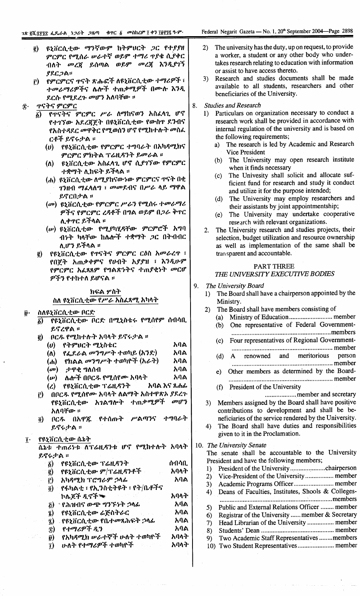- ዩኒቨርሲቲው ማንኛውም ከትምሀርት ጋር የተያያዘ C) ምርምር የሚሰራ ሥራተኛ ወይም ተማሪ ጥያቄ ሲያቀር ብለት መረጀ ይሰጣል ወይም መረጀ እንዲያነኝ  $PAC$ ጋል።
- የምርምርና ዋናት ጽሑፎች ለዩኒቨርሲቲው ተማሪዎች ፣ ĉ) ተመራማሪዎችና ሌሎች ተጠቃሚዎች በሙሉ እንዲ ደርሱ የሚደረጉ መሆን አለባቸው ።
- **ጥናትና ምርምር**  $\hat{\mathbf{T}}$ 
	- $\overline{\delta}$ የተገኘው አደረጀጀት በዩኒቨርሲቲው የውስዋ ደንብና የአስተዳደር መዋቅር የሚወሰን ሆኖ የሚከተሉት መስፈ ርቶች ይኖሩታል ።
		- የዩኒቨርሲቲው የምርምር ተግባራት በአካዳሚክና  $(v)$ ምርምር ምክትል ፕሬዚዳንት ይመራል ።
		- ዩኒቨርሲቲው አስፈላጊ ሆኖ ሲያገኘው የምርምር (ለ) ተቋማት ሊከፍት ይችላል ፡፡
		- (ሐ) ዩኒቨርሲቲው ለሚያከናውነው ምርምርና ጥናት በቂ ገንዘብ ማፈላለግ ፣ መመደብና በሥራ ላይ ማዋል ይኖርበታል ።
		- (መ) ዩኒቨርሲቲው የምርምር ሥራን የሚሰሩ ተመራማሪ ዎችና የምርምር ረዳቶች በግል ወይም በጋራ ቅጥር ሊቀተር ይችላል ፡፡
		- ( ) ዩኒቨርሲቲው የሚያካሂዳቸው ምርምሮች አግባ ብንት ካላቸው ከሌሎች ተቋማት ጋር በትብብር ሊሆን ይችላል ።
	- የዩኒቨርሲቲው የጥናትና ምርምር ርዕስ አመራረጥ ፣ e) የበጀት አጠቃቀምና የሀብት አያያዝ ፣ እንዲሁም የምርምር አፈጻጸም የግልጽነትና ተጠያቂነት መርሆ ዎችን የተከተለ ይሆናል ።

## ክፍል ሦስት

ስለ ዩኒቨርሲቲው የሥራ አስፈጻሚ አካላት

- ስለዩኒቨርሲቲው ቦርድ ij.
	- የዩኒቨርሲቲው ቦርድ በሚኒስቴሩ የሚሰየም ሰብሳቢ  $\delta$ ) ይኖረዋል ።
	- ቦርዱ የሚከተሉት አባላት ይኖሩታል ።  $\tilde{g}$ 
		- (v) የትምህርት ሚኒስቴር አባል አባል የፌደራል መንግሥት ተወካይ (አንድ)  $(\Lambda)$
		- የክልል መንግሥት ተወካዮች (አራት) አባል  $(h)$
		- አባል  $(\sigma v)$ ታዋቂ ግለሰብ
		- $(\boldsymbol{\nu})$ - ሌሎች በቦር*ዱ የሚ*ሰየሙ አባላት አባል
		- (ረ) የዩኒቨርሲቲው ፕሬዚዳንት አባል እና ጸሐፊ
	- በቦርዱ የሚሰየሙ አባላት ለልማት አስተዋጽኦ ያደረጉ r) የዩኒቨርሲቲው አ*ገ*ልግሎት ተጠቃሚዎች  $\omega$ P አለባቸው ።
	- ተግባራት ቦርዱ በአዋጁ የተሰጡት ሥልጣንና  $\tilde{g}$ ). ይኖሩታል።

#### የዩኒቨርሲቲው ሴኔት ĩ٠

ቤኔቱ ተጠሪነቱ ለፕሬዚዳንቱ ሆኖ የሚከተሉት አባላት ይኖሩታል።

| $\delta)$   | የዩኒቨርሲቲው ፕሬዚዳንት                 | ሰብሳቢ |
|-------------|---------------------------------|------|
| e)          | የዩኒቨርሲቲው ም/ፕሬዚዳንቶች              | አባላት |
| ŕ)          | አካዳሚክ ፕሮግራም ኃላፊ                 | አባል  |
| $\vec{o}$   | የፋካልቲ ፣ የኢንስቲትዩት ፣ የት/ቤቶችና      |      |
|             | ኮሌጆች ዲኖች የ                      | አባላት |
| E)          | <sub>`</sub> የሕዝብና ውጭ ማንኙነት ኃላፊ | አባል  |
| Z)          | የዩኒቨርሲቲው ሬጅስትራር                 | አባል  |
| $\tilde{v}$ | . የዩኒቨርሲቲው የቤተመጻሕፍት ኃላፊ         | አባል  |
| Î)          | የተማሪዎች ዲን                       | አባል  |
| Ø)          | የአካዳሚክ ሥራተኞች ሁለት ተወካዮች          | አባላት |
| $\vec{I}$   | ሁለት የተማሪዎች ተወካዮች                | አባላት |

- The university has the duty, up on request, to provide  $2)$ a worker, a student or any other body who undertakes research relating to education with information or assist to have access thereto.
- Research and studies documents shall be made  $3)$ available to all students, researchers and other beneficiaries of the University.
- **Studies and Research**  $\mathbf{R}$ 
	- Particulars on organization necessary to conduct a  $1)$ research work shall be provided in accordance with internal regulation of the university and is based on the following requirements;
		- The research is led by Academic and Research  $a)$ **Vice President**
		- The University may open research institute  $(b)$ when it finds necessary
		- The Univesity shall solicit and allocate suf- $(c)$ ficient fund for research and study it conduct and utilize it for the purpose intended;
		- The University may employ researchers and  $(d)$ their assistants by joint appointmentship;
		- The University may undertake cooperative  $(e)$ research with relevant organizations.
	- The University research and studies projects, their  $2<sub>1</sub>$ selection, budget utilization and resource ownership as well as implementation of the same shall be transparent and accountable.

#### PART THREE

#### THE UNIVERSITY EXECUTIVE BODIES

#### 9 The University Board

- The Board shall have a chairperson appointed by the  $\bf{1}$ Ministry.
	- The Board shall have members consisting of  $2)$ 
		- One representative of Federal Government- $(b)$
		- Four representatives of Regional Government- $(c)$
		- (d) A renowned and meritorious person
		-
		- Other members as determined by the Board $e)$
		- President of the University  $(f)$
	- ....................member and secretary 3) Members assigned by the Board shall have positive contributions to development and shall be beneficiaries of the service rendered by the University.
	- The Board shall have duties and responsibilities  $4)$ given to it in the Proclamation.

10. The University Senate The senate shall be accountable to the University President and have the following members;  $1)$ Vice-President of the University................. member  $2)$  $3)$ Deans of Faculties, Institutes, Shools & Colleges- $4)$ Public and External Relations Officer ........ member  $5)$ Registrar of the University ...... member & Secretary  $6)$ Head Librarian of the University ................ member  $7)$ 8) Two Academic Staff Representatives ........members  $9)$ 

10) Two Student Representatives......................... member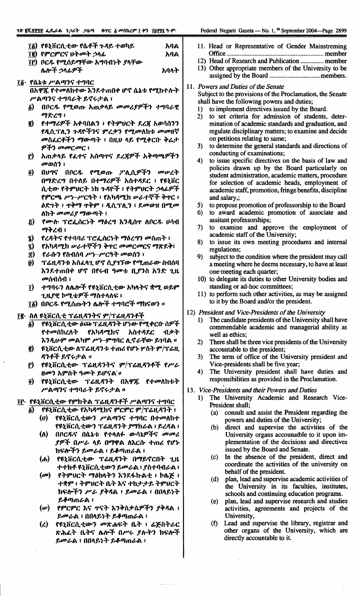## ፲፩· የሴኔቱ ሥልጣንና ተግባር

በአዋጁ የተመለከተው እንደተጠበቀ ሆኖ ሴኔቱ የሚከተሉት ሥልጣንና ተግባራት ይኖሩታል ፣

- በቦርዱ የሚወጡ አጠቃላይ መመሪያዎችን ተግባራዊ  $\delta$ ማድረግ ፣
- የተማሪዎች አቀባበልን ፣ የትምህርት ደረጀ አወሳሰንን Q) የዲሲፕሊን ጉዳዮችንና ምረቃን የሚመለከቱ መመዘኛ መስፌርቶችን ማውጣት ፣ በዚህ ላይ የሚቀርቡ ቅሬታ ዎችን መመርመር ፣
- አጠቃላይ የፌተና አሰጣኖና ደረጀዎች አቅጣሜዎችን ĉ) መወሰን ፣
- በህግና በቦርዱ የሚወጡ ፖሊሲዎችን መሠረት  $\vec{0}$ በማድረግ በተለይ በተማሪዎች አስተዳደር ፣ የዩኒቨር ሲቲው የትምሀርት ነክ ጉዳዮች ፣ የትምሀርት ኃላፊዎች የምርጫ ሥነ–ሥርዓት ፣ የአካዳሚክ ሥራተኞች ቅጥር ፣ ዕድገት ፣ ጥቅማ ጥቅም ፣ ዲሲፕሊን ፣ ደመወዝ በሚመ ለከት መመሪያ ማውጣት ፣
- የሙሉ ፕሮፌሰርነት ማዕረግ እንዲሰዋ ለቦርዱ ሀሳብ  $\zeta$ ማቅረብ ፣
- የረዳትና የተባባሪ ፕሮፌሰርነት ማዕረግን መስጠት ፣  $\tilde{z}$
- የአካዳሚክ ሥራተኞችን ቅኖር መመርመርና ማጽደቅ፣ Z)
- *የራሱን የ*ስብሰባ ሥነ-ሥርዓት መወሰን ፣  $\mathbf{\hat{r}})$
- ፕሬዚዳንቱ አስፈላጊ ሆኖ ሲያገኘው የሚጠራው ስብሰባ  $\ddot{\mathbf{y}}$
- እንደተጠበቀ ሆኖ በየሩብ ዓመቱ ቢያንስ አንድ ጊዜ መሰብሰብ ፣
- ተግባሩን ለሴሎች የዩኒቨርሲቲው አካላትና ቋሚ ወይም  $\mathbf{I}$ ጊዜያዊ ኮሚቴዎች ማስተላለፍ ፣
- ፲፩) በቦርዱ የሚሰጡትን ሌሎች ተግባሮች ማከናወን ፡፡

#### ፲፪· ስለ ዩኒቨርሲቲ ፕሬዚዳንትና ም/ፕሬዚዳንቶች

- ፩) የዩኒቨርሲቲው ዕጩ ፕሬዚዳንት ሆነው የሚቀርቡ ሰዎች የተ*መ*ሰከረለት የአካዳሚክና አስተዳደር ብ ቃት እንዲሁም መልካም ሥነ–ምግባር ሊኖራቸው ይገባል ፡፡
- ዩኒቨርሲቲው ለፕሬዚዳንቱ ተጠሪ የሆኑ ሦስት ም/ፕሬዚ E) ዳንቶች ይኖሩታል ።
- የዩኒቨርሲቲው ፕሬዚዳንትና ም/ፕሬዚዳንቶች የሥራ C) ዘመን አምስት ዓመት ይሆናል ፡፡
- $\hat{p}$ የዩኒቨርሲቲው ፕሬዚዳንት በአዋጁ የተመለከቱት ሥልጣንና ተግባራት ይኖሩታል ፡፡

#### ፲፫· የዩኒቨርሲቲው የምክትል ፕሬዚዳንቶች ሥልጣንና ተግባር

 $\tilde{b}$ 

- የዩኒቨርሲቲው የአካዳሚክና ምርምር ም/ፕሬዚዳንት ፣  $(v)$ የዩኒቨርሲቲውን ሥልጣንና ተግባር በ<u>ተመ</u>ለከተ የዩኒቨርሲቲውን ፕሬዚዳንት ያማክራል ፣ ይረዳል ፣
- በቦርዱና በሴኔቱ የተላለፉ ውሳኔዎችና መመሪ  $(0)$ ያዎች በሥራ ላይ በማዋል ለእርሱ ተጠሪ የሆኑ ከፍሎችን ይመራል ፣ ይቆጣጠራል ፣
- (ሐ) የዩኒቨርሲቲው ፕሬዚዳንት በማይኖርበት ጊዜ ተተክቶ ዩኒቨርሲቲውን ይመራል ፣ ያስተባብራል ፣
- $(\boldsymbol{\sigma v})$ የትምሀርት ማዕከላትን እንደፋኩልቲ ፣ ኮሌጅ ፣ ተቋም ፣ ትምህርት ቤት እና ተከታታይ ትምህርት ክፍሎችን ሥራ ያቅጻል ፣ ይመራል ፣ በበላይነት ይቆጣጠራል ፣
- (ሥ) የምርምር እና ጥናት እንቅስቃሴዎችን ያቅዳል ፣ ይመራል ፣ በበላይነት ይቆጣጠራል ፣
- $(2)$ የዩኒቨርሲቲውን መጽሐፍት ቤት ፣ ሬጅስትራር ጽሕፈት ቤትና ሌሎች በሥሩ ያሉትን ክፍሎች ይመራል ፣ በበላይነት ይቆጣጠራል ፣
- Federal Negarit Gazeta No. 1, <sup>20</sup> September 2004-Page 2899
- 11. Head or Representative of Gender Mainstreming
- 12) Head of Research and Publication .............. member
- 13) Other appropriate members of the University to be
- 11. Powers and Duties of the Senate

Subject to the provisions of the Proclamation, the Senate shall have the following powers and duties;

- to implement directives issued by the Board.  $\mathbf{D}$
- to set criteria for admission of students, deter- $2)$ mination of academic standards and graduation, and regulate disciplinary matters; to examine and decide on petitions relating to same;
- to determine the general standards and directions of  $3)$ conducting of examinations;
- $4)$ to issue specific directives on the basis of law and policies drawn up by the Board particularly on student administration, academic matters, procedure for selection of academic heads, employment of academic staff, promotion, fringe benefits, discipline and salary,;
- $5)$ to propose promotion of professorship to the Board
- to award academic promotion of associate and 6) assitant professorships;
- to examine and approve the employment of  $\mathcal{D}$ academic staff of the University;
- 8) to issue its own meeting procedures and internal regulations:
- subject to the condition where the president may call  $9)$ a meeting where he deems necessary, to have at least one meeting each quarter;
- 10) to delegate its duties to other University bodies and standing or ad-hoc committees;
- 11) to perform such other activities, as may be assigned to it by the Board and/or the president.

#### 12) President and Vice-Presidents of the University

- $1)$ The candidate presidents of the University shall have commendable academic and managerial ability as well as ethics:
- There shall be three vice presidents of the University  $2)$ accountable to the president;
- $3)$ The term of office of the University president and Vice-presidents shall be five year;
- $4)$ The University president shall have duties and responsibilities as provided in the Proclamation.
- 13. Vice-Presidents and their Powers and Duties
	- The University Academic and Research Vice- $\bf{D}$ President shall;
		- consult and assist the President regarding the  $(a)$ powers and duties of the University;
		- $(b)$ direct and supervise the activities of the University organs accounatble to it upon implementation of the decisions and directives issued by the Board and Senate.
		- In the absence of the president, direct and  $(c)$ coordinate the activities of the university on behalf of the president.
		- plan, lead and supervise academic activities of  $(d)$ the University in its faculties, institutes, schools and continuing education programs.
		- plan, lead and supervise research and studies  $(e)$ activities, agreements and projects of the University,
		- Lead and supervise the library, registrar and  $(f)$ other organs of the University, which are directly accountable to it.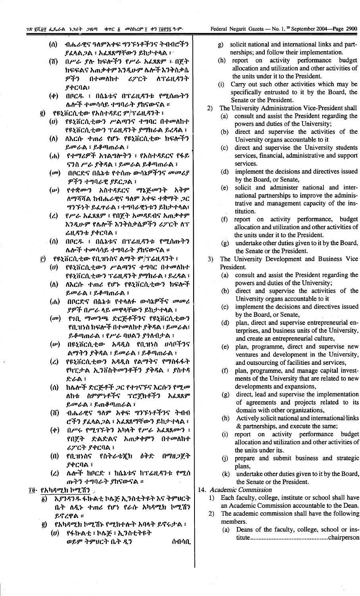- $\omega$ ብሔራዊና ዓለምአቀፍ ግንኙነቶችንና ትብብሮችን ያፈላልጋል ፣ አፈጻጸማቸውን ይከታተላል ፣
- በሥራ ያሉ ክፍሎችን የሥራ አፈጻጸም ፣ በጀት  $(5)$ ክፍፍልና አጠቃቀም እንዲሁም ሴሎች እንቅስቃሴ ዎችን በተመለከተ ሪፖርት ለፕሬዚዳንት ያቀርባል፣
- $(\Phi)$ በቦርዱ ፣ በሴኔቱና በፕሬዚዳንቱ የሚሰጡትን ሌሎች ተመሳሳይ ተግባራት ያከናውናል ፡፡
- የዩኒቨርሲቲው የአስተዳደር ም/ፕሬዚዳንት ፣  $\vec{e}$ 
	- የዩኔቨርሲቲውን ሥልጣንና ተግባር በተመለከተ  $(v)$ የዩኒቨርሲቲውን ፕሬዚዳንት ያማክራል ይረዳል ፣
	- $(\Lambda)$ ለእርሱ ተጠሪ የሆኑ የዩኒቨርሲቲው ክፍሎችን ይመራል ፣ ይቆጣጠራል ፣
	- $(h)$ የተማሪዎች አገልግሎትን ፣ የአስተዳደርና የፋይ ናንስ ሥራ ያቅዳል ፣ ይመራል ይቆጣጠራል ፣
	- በቦርድና በሴኔቱ የተሰጡ ውሳኔዎችንና መመሪያ  $(\sigma$ <sup> $)$ </sup> ዎችን ተግባራዊ ያደርጋል ፣
	- $(w)$ የተቋሙን አስተዳደርና ማኔጅመንት አቅም ለማሻሻል ከብሔራዊና ዓለም አቀፍ ተቋማት *ጋ*ር ግንኙነት ይፈዋራል ፣ ተግባራዊነቱን ይከታተላል፣
	- የሥራ አፈጻጸም ፣ የበጀት አመጻደብና አጠቃቀም  $\mathcal{L}$ እንዲሁም የሌሎች እንቅስቃሴዎችን ሪፖርት ለፕ ሬዚዳንቱ ያቀርባል ፣
	- $(0)$ በቦርዱ ፣ በሴኔቱና በፕሬዚዳንቱ የሚሰጡትን ሌሎች ተመሳሳይ ተግባራት ያከናውናል ፡፡
- የዩኒቨርሲቲው የቢዝነስና ልማት ም/ፕሬዚዳንት ፣  $\mathbf{\hat{c}})$ 
	- $(v)$ የዩኒቨርሲቲውን ሥልጣንና ተግባር በተመለከተ የዩኒቨርሲቲውን ፕሬዚዳንት ያማክራል ፡ ይረዳል ፡
	- ለእርሱ ተጠሪ የሆኑ የዩኒቨርሲቲውን ክፍሎች  $(\Lambda)$ ይመራል ፣ ይቆጣጠራል ፣
	- በቦርድና በሴኔቱ የተላለፉ ውሳኔዎችና መመሪ  $(h)$ ያዎች በሥራ ላይ መዋላቸውን ይከታተላል ፣
	- $(\boldsymbol{\omega})$ የኀቢ ማመንጫ ድርጅቶችንና የዩኒቨርሲቲውን የቢዝነስ ክፍሎች በተመለከተ ያቅዳል ፣ ይመራል፣ ይቆጣጠራል ፣ የሥራ ባህልን ያጎለብታል ፣
	- $(\boldsymbol{w})$ በዩኒቨርሲቲው አዳዲስ የቢዝነስ ሀሳቦችንና ልማትን ያቅዳል ፣ ይመራል ፣ ይቆጣጠራል ፣
	- $\mathcal{L}$ የዩኒቨርሲቲውን አ**ዳዲስ የልማትና የማስፋ**ፋት የካፒታል ኢንቨስትመንቶችን ያቅዳል ፣ ያስተዳ ድራል ፣
	- ከሌሎች ድርጅቶች ጋር የተገናኙና እርሱን የሚመ  $\omega$ ለከቱ ስምምነቶችና ፕሮጀክቶችን አፈጻጸም ይመራል ፣ ይጠቆጣጠራል ፣
	- ብሔራዊና ዓለም አቀፍ ግንኙነቶችንና ትብብ (ሽ) ሮችን ያፈላል ጋል ፣ አፈጻጸማቸውን ይከታተላል ፣
	- $(\boldsymbol{\varphi})$ በሥሩ የሚገኙትን አካላት የሥራ አፌጸጸሙን ፣ የበጀት ድልድልና አጠቃቀምን በተመለከተ ሪፖርት ያቀርባል ፣
	- $(n)$ የቢዝንስና የስትራቴጇክ ዕቅድ በማዘጋጀት ያቀርባል ፣
	- ሌሎች ከቦርድ ፣ ከሴኔቱና ከፕሬዚዳንቱ የሚሰ  $\mathcal{L}$ ጡትን ተግባራት ያከናውናል ፡፡

፲፬· የአካዳሚክ ኮሚሽን

- <u>δ)</u> እ*ያንጻንዱ* ፋኩልቲ ኮሌጅ ኢንስቲትዩት እና ትምህርት ቤት ለዲኑ ተጠሪ የሆነ የራሱ አካዳሚክ ኮሚሽን ይኖረዋል ።
- የአካዳሚክ ኮሚሽኑ የሚከተሉት አባላት ይኖሩታል ፣ ê)  $\boldsymbol{(\boldsymbol{\mathit{v}})}$ የፋኩልቲ ፣ ኮሌጅ ፣ ኢንስቲተዩተ ወይም ትምህርት ቤት ዲን ሰብሳቢ

- Federal Negarit Gazeta No. 1, <sup>20</sup> September 2004-Page 2900
	- solicit national and international links and part- $\mathbf{q}$ nerships; and follow their implementation.
	- (h) report on activity performance budget allocation and utilization and other activities of the units under it to the President.
	- (i) Carry out such other activities which may be specifically entrusted to it by the Board, the Senate or the President.
- The University Administration Vice-President shall  $2)$ 
	- (a) consult and assist the President regarding the powers and duties of the University;
	- direct and supervise the activities of the  $(b)$ University organs accountable to it
	- direct and supervise the University students  $(c)$ services, financial, administrative and support services.
	- $(d)$ implement the decisions and directives issued by the Board, or Senate,
	- solicit and administer national and inter- $(e)$ national partnerships to improve the administrative and management capacity of the institution.
	- report on activity performance, budget  $(f)$ allocation and utilization and other activities of the units under it to the President.
	- undertake other duties given to it by the Board,  $(g)$ the Senate or the President.
- $3)$ The University Development and Business Vice President.
	- consult and assist the President regarding the  $(a)$ powers and duties of the University;
	- direct and supervise the activities of the  $(b)$ University organs accountable to it
	- $(c)$ implement the decisions and directives issued by the Board, or Senate,
	- plan, direct and supervise entrepreneurial en- $(d)$ terprises, and business units of the University, and create an entrepreneurial culture,
	- plan, programme, direct and supervise new  $(e)$ ventures and development in the University, and outsourcing of facilities and services,
	- $(f)$ plan, programme, and manage capital investments of the University that are related to new developments and expansions,
	- direct, lead and supervise the implementation  $(g)$ of agreements and projects related to its domain with other organizations,
	- $(h)$ Actively solicit national and international links & partnerships, and execute the same;
	- report on activity performance budget  $(i)$ allocation and utilization and other activities of the units under its.
	- prepare and submit business and strategic  $(i)$ plans,
	- undertake other duties given to it by the Board,  $(k)$ the Senate or the President.
- 14. Academic Commission
	- Each faculty, college, institute or school shall have  $1)$ an Academic Commission accountable to the Dean.
	- $2)$ The academic commission shall have the following members.
		- Deans of the faculty, college, school or ins- $(a)$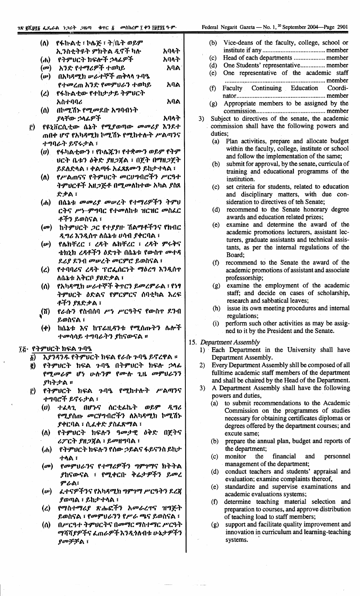| $(\Lambda)$                 | የፋኩልቲ ፣ ኮሌጅ ፣ ት/ቤት ወይም |      |
|-----------------------------|------------------------|------|
|                             | ኢንስቲትዩት ምክትል ዲኖች ካሉ    | አባላት |
| (h)                         | የትምሀርት ክፍሎች ኃላፊዎች      | አባላት |
| $(\mathbf{a}^{\mathrm{D}})$ | አንድ የተማሪዎች ተወካይ        | ୍አባል |
| (w)                         | በአካዳሚክ ሥራተኞች ጠቅላላ ጉባዔ  |      |
|                             | የተመረጠ አንድ የመምሀራን ተወካይ  | አባል  |
| $\mathbf{z}$                | የፋኩልቲው የተከታታይ ትምሀርት    |      |
|                             | አስተባባሪ                 | አባል  |
|                             |                        |      |

- $(0)$ \_በኮሚሽኑ የ*ሚመ*ደቡ አግባብነት ያላቸው ኃላፊዎች አባላት
- የዩኒቨርሲቲው ሴኔት የሚያወጣው መመሪያ እንደተ F) ጠበቀ ሆኖ የአካዳሚክ ኮሚሽኑ የሚከተሉት ሥልጣንና ተግባራት ይኖሩታል ፣
	- (ሀ) የፋካልቲውን ፣ የኮሌጁን፣ የተቋሙን ወይም የትም ህርት ቤቱን ዕቅድ ያዘጋጀል ፣ በጀት በማዘጋጀት ይደለድላል ፣ ቀልጣፋ አፈጻጸሙን ይከታተላል ፣
	- የሥልጠናና የትምህርት መርሀግብሮችን ሥርዓተ  $(\Lambda)$ ትምህርቶች አዘጋጅቶ በሚመለከተው አካል ያስጸ ድቃል ፣
	- $(h)$ በሴኔቱ መመሪያ መሠረት የተማሪዎችን ትምህ ርትና ሥነ-ምግባር የተመለከቱ ዝርዝር መስፌር ቶችን ይወስናል ፣
	- (መ) ከትምህርት ጋር የተያያዙ ሽልማቶችንና የክብር ዲግሪ እንዲሰጥ ለሴኔቱ ሀሳብ ያቀርባል ፣
	- የሌክቸሪር ፣ ረዳት ሌክቸሪር ፣ ረዳት ምሩቅና  $(\boldsymbol{\nu})$ ቴክኔክ ረዳቶችን ዕድገት በሴኔቱ የውስጥ መተዳ ደሪያ ደንብ መሠረት መርምሮ ይወስናል ፣
	- የተባባሪና ረዳት ፕሮፌሰርነት ማዕረግ እንዲሰጥ  $\mathcal{L}$ ለሴኔቱ አቅርቦ ያፀድቃል ፣
	- $\omega$ የአካዳሚክ ሥራተኞች ቅጥርን ይመረምራል ፣ የነፃ ትምሀርት ዕድልና የምርምርና ሰባቲካል እረፍ ቶችን ያጸድቃል ፣
	- $(n)$ የራሱን የስብሰባ ሥነ ሥርዓትና የውስጥ ደንብ ይወስናል ፣
	- ከሴኔቱ እና ከፕሬዚዳንቱ የሚሰጡትን ሌሎች  $(\phi)$ ተመሳሳይ ተግባራትን ያከናውናል ፡፡

#### ፲፭· የትምሀርተ ክፍል ጉባዔ

- እያንዳንዱ የትምሀርት ክፍል የራሱ ጉባዔ ይኖረዋል ፡፡  $\delta$
- የትምሀርት ክፍል ጉባዔ በትምሀርት ክፍሉ ኃላፊ Q) የሚመራም ሆነ ሁሉንም የሙሉ ጊዜ መምህራንን ያካትታል ።
- የትምሀርት ክፍል ጉባዔ የሚከተሉት ሥልጣንና ĉ) ተግባሮች ይኖሩታል ፣
	- ተፈላጊ በሆኑና ሰርቲፊኬት ወይም ዲግሪ  $(v)$ የሚያሰጡ መርሃግብሮችን ለአካዳሚክ ኮሚሽኑ ያቀርባል ፣ ሲፌቀድ *ያ*ስፌጽማል ፣
	- (ለ) የትምሀርት ክፍሉን ዓመታዊ ዕቅድ በጀትና ሪፖርት ያዘጋጀል ፣ ይመዘግባል ፣
	- የትምሀርት ክፍሉን የሰው ኃይልና ፋይናንስ ይከታ (ሐ) ተሳል ፣
	- የመምህራንና የተማሪዎችን ግምገማና ክትትል  $(\boldsymbol{\sigma v})$ ያከናውናል ፣ የሚቀርቡ ቅሬታዎችን ይመረ ምራል፣
	- $(\boldsymbol{w})^-$ <u>ፈተናዎችንና የአካዳሚክ ግምገማ ሥርዓትን ደረጀ</u> ያወጣል ፣ ይከታተላል ፣
	- የማስተማሪያ ጽሑፎችን አመራረዋና ዝግጅት  $(2)$ ይወስናል ፣ የመምሀራንን የሥራ ጫና ይወስናል ፣
	- (ሰ) በሥርዓተ ትምህርትና በመማር ማስተማር ሥርዓት ማሻሻያዎችና ፌጠራዎች እንዲንለብቱ ሁኔታዎችን ያመቻቻል ፣
- Vice-deans of the faculty, college, school or  $(b)$
- $(c)$ Head of each departments ................... member
- One Students' representative............... member  $(d)$
- One representative of the academic staff  $(e)$
- (f) Faculty Continuing Education Coordi-
- Appropriate members to be assigned by the  $(g)$
- Subject to directives of the senate, the academic 3) commission shall have the following powers and duties:
	- Plan activities, prepare and allocate budget  $(a)$ within the faculty, college, institute or school and follow the implementation of the same;
	- submit for approval, by the senate, curricula of (b) training and educational programms of the institution.
	- $(c)$ set criteria for students, related to education and disciplinary matters, with due consideration to directives of teh Senate;
	- (d) recommend to the Senate honorary degree awards and education related prizes;
	- $(e)$ examine and determine the award of the academic promotions lecturers, assistant lecturers, graduate assistants and technical assistants, as per the internal regulations of the Board:
	- $(f)$ recommend to the Senate the award of the academic promotions of assistant and associate professorship;
	- examine the employment of the academic  $(g)$ staff; and decide on cases of scholarship, research and sabbatical leaves;
	- (h) issue its own meeting procedures and internal regulations:
	- perform such other activities as may be assig- $(i)$ ned to it by the President and the Senate.
- 15. Department Assembly
	- Each Department in the University shall have  $1$ ) Department Assembly.
	- Every Department Assembly shill be composed of all  $2)$ fulltime academic staff members of the department and shall be chaired by the Head of the Department.
	- A Department Assembly shall have the following  $3)$ powers and duties,
		- to submit recommendations to the Academic  $(a)$ Commission on the programmes of studies necessary for obtaining certificates diplomas or degrees offered by the department courses; and excute same;
		- prepare the annual plan, budget and reports of  $(b)$ the department;
		- financial and (c) monitor the personnel management of the department;
		- (d) conduct teachers and students' appraisal and evaluation; examine complaints thereof,
		- standardize and supervise examinations and  $(e)$ academic evaluations systems;
		- determine teaching material selection and  $(f)$ preparation to courses, and approve distribution of teaching load to staff members;
		- support and facilitate quality improvement and  $(g)$ innovation in curriculum and learning-teaching systems.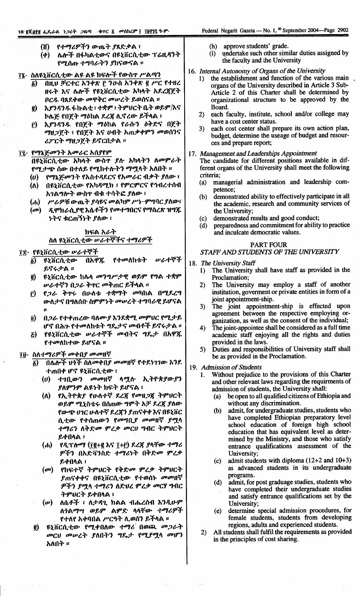- የተማሪዎችን ውጤት ያጸድቃል ፣ (ሽ) ፡
- ሌሎች በፋካልቲውና በዩኒቨርሲቲው ፕሬዚዳንት (ቀ) የሚሰጡ ተግባራትን ያከናውናል ፡፡

## ፲፮· ስለዩኒቨርሲቲው ልዩ ልዩ ክፍሎች የውስዋ ሥልጣን

- በዚህ ቻርተር አንቀጽ ፫ ንዑስ አንቀጽ ፪ ሥር የተዘረ δÌ. ዘሩት እና ሌሎች የዩኒቨርሲቲው አካላት አደረጃጀት በርዱ ባጸደቀው መዋቅር መሥረት ይወሰናል ፡፡
- እያንዳንዱ ፋኩልቲ ፣ ተቋም ፣ ትምህርት ቤት ወይም/እና U) ኮሌጅ የበጀት ማዕከል ደረጃ ሊኖረው ይችላል ፣
- እያንዳንዱ የበጀት ማዕከል የራሱን ዕቅድና በጀት  $\mathbf{r})$ *ግ*ዘ*ጋ*ጀት ፣ የበጀት እና ሀብት አጠቃቀምን መወሰንና ሪፖርት ማዘጋጀት ይኖርበታል ።

## ፲፯· የማኔጅመንት አመራር አሰያየም

በዩኒቨርሲቲው አካላት ውስዋ ያሉ አካላትን ለመምራት የሚታጭ ሰው በተለይ የሚከተሉትን ማሟላት አለበት ።

- (ሀ) የማኔጅመንት የአስተዳደርና የአመራር ብቃት ያለው ፣ በዩኒቨርሲቲው የአካዳሚክ ፣ የምርምርና የኅብረተሰብ  $(0)$
- አገልግሎት ውስዋ ብቁ ተሳትፎ ያለው ፣
- ሥራዎቹ ውጤት ያሳዩና መልካም ሥነ–ምግባር ያለው፣  $(d_0)$
- (መ) ዲሞክራሲያዊ እሴቶችን የመተግበርና የማስረጽ ዝግጁ *ነትና ቁርጠኝነት ያለው* ፣

ክፍል አራት

#### ስለ ዩኒቨርሲቲው ሥራተኞችና ተማሪዎች

#### ፲፰· የዩኒቨርሲቲው ሥራተኞች

- **ሥራተኞች**  $\tilde{g}$ )  $R\tilde{\chi}$   $\tilde{n}$   $C$   $\tilde{n}$   $\tilde{r}$   $\tilde{w}$ በአዋጁ የተ**መለከ**ቱት ይኖሩታል።
- ዩኒቨርሲቲው ከሌላ መንግሥታዊ ወይም የግል ተቋም  $\mathbf{g}$ ሥራተኛን በ*ጋራ* ቅኖር መቅጠር ይችላል ፡፡
- የ*ጋ*ራ ቅጥሩ በሁለቱ ተቋማት መካከል በሚደረግ  $\mathbf{r}$ ውለታና በግለሰቡ ስምምነት መሠረት ተግባራዊ ይሆናል
- በጋራ የተቀጠረው ባለሙያ እንደቋሚ መምህር የሚታይ  $\ddot{\mathbf{0}}$ ሆኖ በሕጉ የተመለከቱት ግዴታና መብቶች ይኖሩታል ፡፡
- የዩኒቨርሲቲው ሥራተኞች መብትና ግዴታ በአዋጁ  $\vec{c}$ የተመለከተው ይሆናል ፡፡

## ፲፱· ስለተማሪዎች መቀበ*ያ መ*መዘኛ

- በሌሎች ህንች ስለመቀበያ መመዘኛ የተደነገገው እንደ δ) ተጠበቀ ሆኖ ዩኒቨርሲቲው ፣
	- ተገቢውን መመዘኛ ላሟሉ ኢትዮጵያውያን ω) ያለምንም ልዩነት ክፍት ይሆናል ፣
	- $\mathbf{\omega}$ የኢትዮጵያ የሁለተኛ ደረጀ የመዘጋጀ ትምህርት ወይም ሚኒስቴሩ በሰጠው ግምት አቻ ደረጀ ያለው የውጭ ሀገር ሁለተኛ ደረጀን ያጠናቀቀ እና በዩኒቨር ሲቲው የተሰጠውን የመግቢያ መመዘኛ ያሟላ ተማሪን ለቅድመ ምሪቃ መርሀ ግብር ትምህርት ይቀበላል ፣
	- የዲፕሎማ (፲፪+፪ እና ፲+፫) ደረጃ ያላቸው ተማሪ  $(h)$ *ዎችን* በአድቫንስድ ተማሪነት በቅድ*መ* ምረቃ ይቀበላል ፣
	- የከፍተኛ ትምህርት የቅድመ ምሪቃ ትምህርት  $(\boldsymbol{\sigma v})$ ያጠናቀቀና በዩኒቨርሲቲው የተወሰኑ *መመ*ዘኛ ዎችን ያሟላ ተማሪን ለድህረ ምረቃ መርሃ ግብር ትምህርት ይቀበላል ፣
	- ለሴቶች ፣ ለታዳጊ ክልል ብሔረሰብ እንዲሁም  $(\boldsymbol{w})^-$ ለ*ጎ*ልማሣ ወይም ልምድ ላላቸው ተማሪዎች የተለየ አቀባበል ሥርዓት ሲወሰን ይችላል ፡፡
- ዩኒቨርሲቲው የሚቀበለው ተማሪ በወጪ መጋራት g) መርህ መሠረት ያለበትን ግዴታ የሚያሟላ መሆን አለበት ፡፡
- approve students' grade.  $(h)$
- undertake such other similar duties assigned by  $(i)$ the faculty and the University

#### 16. Internal Autonomy of Organs of the University

- the establishment and function of the various main.  $\bf{D}$ organs of the University described in Article 3 Sub-Article 2 of this Charter shall be determined by organizational structure to be approved by the Board.
- each faculty, institute, school and/or college may  $2)$ have a cost center status.
- each cost center shall prepare its own action plan,  $3)$ budget, determine the useage of budget and resources and prepare report;
- 17. Management and Leaderships Appointment
	- The candidate for different positions available in different organs of the University shall meet the following criteria;
	- managerial administration and leadership com- $(a)$ petence:
	- demonstrated ability to effectively participate in all  $(h)$ the academic, research and community services of the University;
	- demonstrated results and good conduct;  $(c)$
	- preparedness and commitment for ability to practice  $(d)$ and inculcate democratic values.

#### **PART FOUR**

#### STAFF AND STUDENTS OF THE UNIVERSITY

#### 18. The University Staff

- The University shall have staff as provided in the  $1)$ Proclamation;
- The University may employ a staff of another  $2)$ institution, government or private entities in form of a joint appointment-ship.
- The joint appointment-ship is effected upon<br>agreement between the respective employing or- $3)$ ganization, as well as the consent of the individual:
- $4)$ The joint-appointee shall be considered as a full time academic staff enjoying all the rights and duties provided in the laws.
- Duties and responsibilities of University staff shall  $5)$ be as provided in the Proclamation.
- 19. Admission of Students
	- Without prejudice to the provisions of this Charter 1. and other relevant laws regarding the requirments of admission of students, the University shall:
		- be open to all qualified citizens of Ethiopia and  $(a)$ without any discrimination.
		- admit, for undergraduate studies, students who  $(b)$ have completed Ethiopian preparatory level school education of foreign high school education that has equivalent level as determined by the Ministry, and those who satisfy entrance qualifications assessment of the University;
		- admit students with diploma  $(12+2$  and  $10+3)$  $(c)$ as advanced students in its undergraduate programs.
		- $(d)$ admit, for post graduage studies, students who have completed their undergraduate studies and satisfy entrance qualifications set by the University:
		- determine special admission procedures, for  $(e)$ female students, students from developing regions, adults and experienced students.
	- All students shall fulfil the requirements as provided  $(2)$ in the principles of cost sharing.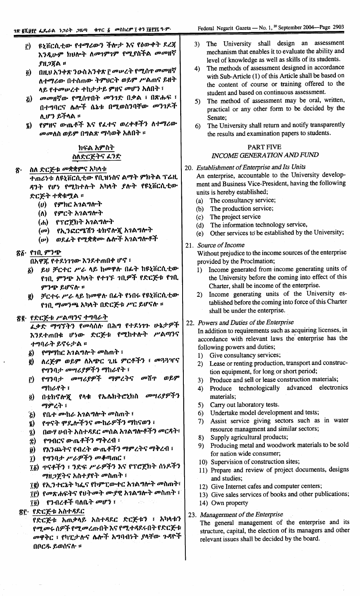- ዩኒቨርሲቲው የተማሪውን ችሎታ እና የዕውቀት ደረጃ F) እንዲሁም ከህሎት ለመገምገም የሚያስችል መመዘኛ ያዘ*ጋ*ጀል ፡፡
- በዚህ አንቀጽ ንውስ አንቀጽ ፫ መሠረት የሚሰጥ መመዘኛ  $\vec{\mathbf{o}}$ ለተማሪው በተሰጠው ትምህርት ወይም ሥልጠና ይዘት ላይ የተመሠረተ ተከታታይ ምዘና መሆን አለበት ፣
- መመዘኛው የሚሰጥበት መንገድ በቃል ፣ በጽሑፍ ፣  $\boldsymbol{E}$ በተግባርና ሌሎች ሴኔቱ በሚወስንባቸው መንገዶች ሊሆን ይችላል ።
- የምዘና ውጤቶች እና የፈተና ወረቀቶችን ለተማሪው  $\bar{z}$ *መመ*ለስ ወይም በግልጽ ማሳወቅ አለበት ፡፡

#### ክፍል አምስት ስለድርጅትና ፌንድ

#### ስለ ድርጅቱ መቋቋምና አካላቱ ኛ.

ዳንት የሆነ የሚከተሉት አካላት ያሉት የዩኒቨርሲቲው ድርጅት ተቋቁሟል ።

- $(v)$  የምክር አገልግሎት
- (ለ) የምርት አገልግሎት
- (ሐ) የፕሮጀክት አገልግሎት
- (መ) የኢንፎርሜሽን ቴክኖሎጂ አገልግሎት
- (ሥ) ወደፌት የሚቋቋሙ ሴሎች አገልግሎቶች

## <u>ኛ፩· የ1ቢ ምንጭ</u>

- በአዋጁ የተደነገገው እንደተጠበቀ ሆኖ ፣
- ፩) ይህ ቻርተር ሥራ ላይ ከመዋሉ በፊት ከዩኒቨርሲቲው የኀቢ ምንጭ አካላት የተገኙ ኀቢዎች የድርጅቱ የኀቢ ምንጭ ይሆናሉ ፡፡
- ቻርተሩ ሥራ ላይ ከመዋሉ በፊት የነበሩ የዩኒቨርሲቲው  $\mathbf{g}$ ) የገቢ ማመንጫ አካላት በድርጅቱ ሥር ይሆናሉ ።

## <u>ኛ</u>፪· የድርጅቱ ሥልጣንና ተግባራት

ፌቃድ ማግኘትን የመሳሰሉ በሕግ የተደነገጉ ሁኔታዎች እንደተጠበቁ ሆነው ድርጅቱ የሚከተሉት ሥልጣንና ተግባራት ይኖሩታል ፡፡

- *የማማ*ከር አ*ገ*ልግሎት መስጠት ፣ δ).
- ለረጅም ወይም ለአጭር ጊዜ ምርቶችን ፣ መጓጓዣና g) የማንባታ መሣሪያዎችን ማከራየት ፣
- የማንባታ መሣሪያዎች ማምረትና መሽጥ ወይም  $\mathbf{r})$ ማከራየት ፣
- የላቁ የኤሌክትሮኒክስ መሣሪያዎችን በቴክኖሎጂ  $\tilde{g}$ ማምረት ፣
- የቤተ ሙከራ አ*ገ*ልግሎት መስጠት ፣  $\mathbf{z}$
- የጥናት ሞዴሎችንና ሙከራዎችን ማከናወን ፣  $\tilde{z}$ )
- በውሃ ሀብት አስተዳደር መሰል አገልግሎቶችን መርዳት፣  $\tilde{u}$
- የማብርና ውጤቶችን ማቅረብ ፣  $\hat{z}$
- የእንጨትና የብረት ውጤቶችን ማምረትና ማቅረብ ፣ Ð)
- ፲) የግንባታ ሥራዎችን መቆጣጠር ፣
- ፲፩) ዋናቶችን ፣ ንድፍ ሥራዎችን እና የፕሮጀክት ሰነዶችን *ማዘጋጀትና አስተያየት መስ*ጠት ፣
- ፲፪) የኢንተርኔት ካፌና የኮምፒውተር አገልግሎት መስጠት፣
- īf) የመጽሐፍትና የህትመት ሙያዊ አገልግሎት መስጠት ፣
- ፲፬) የንብረቶች ባለቤት መሆን ፡፡

#### <u>ጽሮ· የድርጅቱ አስተዳደር</u>

የድርጅቱ አጠቃላይ አስተዳደር ድርጅቱን ፣ አካላቱን የሚመሩ ሰዎች የሚመረጡበት እና የሚተዳደሩበት የድርጅቱ መዋቅር ፣ የካፒታሉና ሌሎች አግባብነት ያላቸው ጉዳዮች በቦርዱ ይወሰናሉ ፡፡

- The University shall design an assessment  $3)$ mechanism that enables it to evaluate the ability and level of knowledge as well as skills of its students.
- 4) The methods of assessment designed in accordance with Sub-Article (1) of this Article shall be based on the content of course or training offered to the student and based on continuous assessment.
- 5) The method of assessment may be oral, written, practical or any other form to be decided by the Senate:
- The University shall return and notify transparently  $6$ the results and examination papers to students.

#### **PART FIVE INCOME GENERATION AND FUND**

#### 20. Establishment of Enterprise and Its Units

An enterprise, accountable to the University development and Business Vice-President, having the following units is hereby established;

- The consultancy service;  $(a)$
- The production service;  $(b)$
- The project service  $(c)$
- The information technology service,  $(d)$
- Other services to be established by the University;  $(e)$

## 21. Source of Income

Without prejudice to the income sources of the enterprise provided by the Proclmation;

- Income generated from income generating units of  $1)$ the University before the coming into effect of this Charter, shall be income of the enterprise.
- Income generating units of the University es- $2)$ tablished before the coming into force of this Charter shall be under the enterprise.

#### 22. Powers and Duties of the Enterprise

In addition to requirements such as acquiring licenses, in accordance with relevant laws the enterprise has the following powers and duties;

- Give consultancy services;  $1)$
- 2) Lease or renting production, transport and construction equipment, for long or short period;
- Produce and sell or lease construction materials;  $3)$
- 4) Produce technologically advanced electronics materials;
- 5) Carry out laboratory tests.
- 6) Undertake model development and tests;
- Assist service giving sectors such as in water 7) resource managment and similar sectors;
- Supply agricultural products; 8)
- Producing metal and woodwork materials to be sold 9) for nation wide consumer;
- 10) Supervision of construction sites;
- 11) Prepare and review of project documents, designs and studies;
- 12) Give Internet cafes and computer centers;
- 13) Give sales services of books and other publications;
- 14) Own property

#### 23. Managerment of the Enterprise

The general management of the enterprise and its structure, capital, the election of its managers and other relevant issues shall be decided by the board.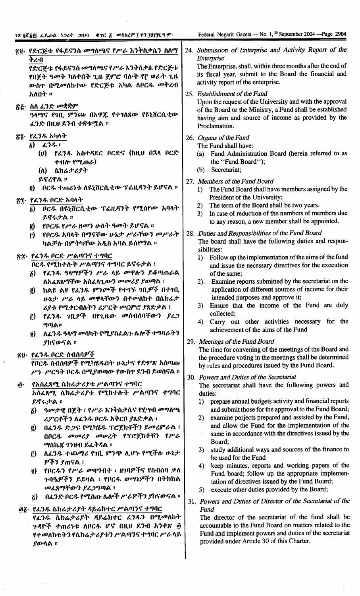$\frac{1}{2}$ 

|     | ፳፬· የድርጅቱ የፋይናንስ መግለጫና የሥራ እንቅስቃሴን ስለማ<br>ቅረብ<br>የድርጅቱ የፋይናንስ መግለጫና የሥራ እንቅስቃሴ የድርጅቱ<br>የበጀት ዓመት ካለቀበት ጊዜ ጀምሮ ባሉት የ፫ ወራት ጊዜ<br>ውስዋ በሚመለከተው የድርጅቱ አካል ለቦርዱ መቅረብ<br>አለበት ፡፡<br>፳ <u>ሯ</u> · ስለ ፈንድ <i>መ</i> ቋቋም<br>ዓላማና የገቢ ምንጮ በአዋጁ የተገለጸው የዩኒቨርሲቲው<br>ፌንድ በዚህ ዶንብ ተቋቁሟል ።                          | 24. Submission of Enterprise and Activity Report of the<br>Enterprise<br>The Enterprise, shall, within three months after the end of<br>its fiscal year, submit to the Board the financial and<br>activity report of the enterprise.<br>25. Establishment of the Fund<br>Upon the request of the University and with the approval<br>of the Board or the Ministry, a Fund shall be established<br>having aim and source of income as provided by the<br>Proclamation. |
|-----|----------------------------------------------------------------------------------------------------------------------------------------------------------------------------------------------------------------------------------------------------------------------------------------------------|-----------------------------------------------------------------------------------------------------------------------------------------------------------------------------------------------------------------------------------------------------------------------------------------------------------------------------------------------------------------------------------------------------------------------------------------------------------------------|
|     | <u>ጽൂ</u> ․ የፈንዱ አካላት<br>$4.3$ $%$ i<br>$\delta$ )<br>የፌንዱ አስተዳደር ቦርድና (ከዚህ በኋላ ቦርድ<br>(v)<br>ተብሎ የሚጠራ)<br>ሴክሬታሪያት<br>$(\Lambda)$<br>ይኖረዋል ፡፡                                                                                                                                                      | 26. Organs of the Fund<br>The Fund shall have:<br>(a) Fund Administration Board (herein referred to as<br>the "Fund Board");<br>Secretariat;<br>(b)<br>27. Members of the Fund Board                                                                                                                                                                                                                                                                                  |
|     | በርዱ ተጠሪነቱ ለዩኒቨርሲቲው ፕሬዚዳንት ይሆናል ፡፡<br>$\mathbf{g}$<br>፳፯· የፌንዱ ቦርድ አባላት<br>ቦርዱ በዩኒቨርሲቲው ፕሬዚዳንት የሚሰየሙ አባላት<br>$\delta$<br>ይኖሩታል ።<br>የቦር <i>ዱ የሥራ ዘመን ሁ</i> ለት ዓመት ይሆናል ፡፡<br>$\tilde{\mathbf{g}}$                                                                                                   | The Fund Board shall have members assigned by the<br>1)<br>President of the University;<br>The term of the Board shall be two years.<br>2)<br>In case of reduction of the numbers of members due<br>3)<br>to any reason, a new member shall be appointed.                                                                                                                                                                                                             |
|     | የቦርዱ አባላት በማናቸው ሁኔታ ሥራቸውን መሥራት<br>$\mathbf{r}$<br>ካልቻሉ በምትካቸው አዲስ አባል ይሰየማል ፡፡<br>፳፰· የፌንዱ ቦርድ ሥልጣንና ተግባር<br>ቦርዱ የሚከተሉት ሥልጣንና ተግባር ይኖሩታል ፣<br>የፈንዱ ዓላማዎችን ሥራ ላይ መዋሉን ይቆጣጠራል<br>$\delta$                                                                                                            | 28. Duties and Responsibilities of the Fund Board<br>The board shall have the following duties and respon-<br>sibilities:<br>Follow up the implementation of the aims of the fund<br>1)<br>and issue the necessary directives for the execution<br>of the same;                                                                                                                                                                                                       |
|     | ለአፈጸጸማቸው አስፈላጊውን <i>መመሪያ ያ</i> ወጣል ፣<br>ከልዩ ልዩ የፈንዱ ምንጮች የተገኙ ገቢዎች በተገቢ<br>g)<br>ሁኔታ ሥራ ላይ መዋላቸውን በተመለከተ በሴክሬታ<br>ሪያቱ የሚቀርብለትን ሪፖርት መርምሮ ያጸድቃል ፣<br><i>የፈንዱ ገቢዎች</i> በየጊዜው መሰብሰባቸውን <i>ያረጋ</i><br>Č)<br>ግጣል።<br>ለፈንዱ ዓላማ መሳካት የሚያስፈልጉ ሴሎች ተግባራትን                                                   | 2). Examine reports submitted by the secretariat on the<br>application of different sources of income for their<br>intended purposes and approve it;<br>3) Ensure that the income of the Fund are duly<br>collected;<br>4) Carry out other activities necessary for the<br>achievement of the aims of the Fund                                                                                                                                                        |
|     | $\vec{0}$<br>ያከናውናል ፡፡<br>፳፱· የፌንዱ ቦርድ ስብሰባዎች<br>የቦርዱ ስብሰባዎች የሚካሄዱበት ሁኔታና የድምጽ አሰጣጡ                                                                                                                                                                                                                | 29. Meetings of the Fund Board<br>The time for convening of the meetings of the Board and<br>the procedure voting in the meetings shall be determined<br>by rules and procedures issued by the Fund Board.                                                                                                                                                                                                                                                            |
| ற்∙ | ሥነ-ሥርዓት ቦርዱ በሚያወጣው የውስዋ ደንብ ይወሰናል ፡፡<br>የአስፈጻሚ ሴክሬታሪያቱ ሥልጣንና ተግባር<br>አስፈጻሚ ሴክሬታሪያቱ የሚከተሉት ሥልጣንና ተግባር<br>ይኖሩታል።<br>ዓመታዊ በጀት ፣ የሥራ እንቅስቃሴና የሂሣብ መግለጫ<br>$\delta$<br>ሪፖርቶችን ለፈንዱ ቦርዱ አቅርቦ ያጸድቃል ፣<br>በፈንዱ ድጋፍ የሚካሄዱ ፕሮጀክቶችን ይመረምራል ፣<br>$\bar{g}$<br>በቦርዱ መመሪያ መሠረት የፕሮጀክቶቹን የሥራ<br>ማስኬጃ ገንዘብ ይፈቅዳል ፣ | 30. Powers and Duties of the Secretariat<br>The secretariat shall have the following powers and<br>duties:<br>prepare annual budgets activity and financial reports<br>1)<br>and submit those for the approval to the Fund Board;<br>examine porjects prepared and assisted by the Fund,<br>2)<br>and allow the Fund for the implementation of the<br>same in accordance with the directives issued by the<br>Board;                                                  |
|     | ለፈንዱ ተጨማሪ የገቢ ምንጭ ሲሆኑ የሚችሉ ሁኔታ<br>$\vec{r}$<br>ዎችን ያጠናል ፣<br>የቦርዱን የሥራ መዛግብት ፣ ዘገባዎችና የስብሰባ ቃለ<br>$\ddot{\mathbf{0}}$<br>ጉባዔዎችን ይይዛል ፣ የቦርዱ ውሣኔዎችን በትክክል<br>መፈጸማቸውን ያረጋግጣል ፣                                                                                                                       | study additional ways and sources of the finance to<br>3)<br>be used for the Fund<br>keep minutes, reports and working papers of the<br>4)<br>Fund board; follow up the appropriate implemen-<br>tation of directives issued by the Fund Board;<br>5) execute other duties provided by the Board;                                                                                                                                                                     |
|     | በፈንድ ቦርዱ የሚሰጡ ሴሎች ሥራዎችን ያከናውናል ።<br>$\zeta$<br>፴፩· የፌንዱ ሴክሬታሪያት ዳይሬክተር ሥልጣንና ተግባር<br>የፈንዱ ሴክሬታሪያት ዳይሬክተር ፈንዱን በሚመለከት<br>ጉዳዮች ተጠሪነቱ ለቦርዱ ሆኖ በዚህ ደንብ አንቀጽ ፴<br>የተመለከቱትን የሴክሬታሪያቱን ሥልጣንና ተግባር ሥራላይ<br>ያውሳል ።                                                                                          | 31. Powers and Duties of Director of the Secretariat of the<br>Fund<br>The director of the secretariat of the fund shall be<br>accountable to the Fund Board on matters related to the<br>Fund and implement powers and duties of the secretariat<br>provided under Article 30 of this Charter.                                                                                                                                                                       |

 $\mathbb{I}$ 

 $\ddot{\phantom{0}}$ 

 $\hat{\boldsymbol{\beta}}$